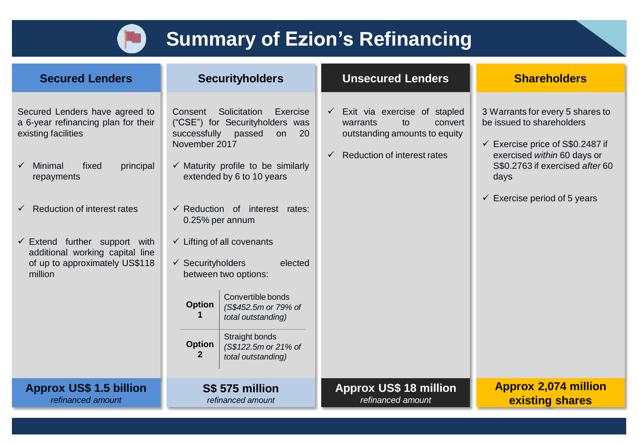

## **Summary of Ezion's Refinancing**

| <b>Secured Lenders</b>                                                                                                                                                                                                                                                                                                        | <b>Securityholders</b>                                                                                                                                                                                                                                                                                                                                                                                                                                                                                                                                                       | <b>Unsecured Lenders</b>                                                                                                                                         | <b>Shareholders</b>                                                                                                                                                                                                               |  |
|-------------------------------------------------------------------------------------------------------------------------------------------------------------------------------------------------------------------------------------------------------------------------------------------------------------------------------|------------------------------------------------------------------------------------------------------------------------------------------------------------------------------------------------------------------------------------------------------------------------------------------------------------------------------------------------------------------------------------------------------------------------------------------------------------------------------------------------------------------------------------------------------------------------------|------------------------------------------------------------------------------------------------------------------------------------------------------------------|-----------------------------------------------------------------------------------------------------------------------------------------------------------------------------------------------------------------------------------|--|
| Secured Lenders have agreed to<br>a 6-year refinancing plan for their<br>existing facilities<br>Minimal<br>principal<br>fixed<br>repayments<br><b>Reduction of interest rates</b><br>$\checkmark$<br>$\checkmark$ Extend further support with<br>additional working capital line<br>of up to approximately US\$118<br>million | Solicitation<br>Consent<br>Exercise<br>("CSE") for Securityholders was<br>successfully<br>passed<br>20<br>on<br>November 2017<br>$\checkmark$ Maturity profile to be similarly<br>extended by 6 to 10 years<br>$\checkmark$ Reduction of interest rates:<br>0.25% per annum<br>$\checkmark$ Lifting of all covenants<br>$\checkmark$ Securityholders<br>elected<br>between two options:<br>Convertible bonds<br><b>Option</b><br>(S\$452.5m or 79% of<br>total outstanding)<br>Straight bonds<br><b>Option</b><br>(S\$122.5m or 21% of<br>$\mathbf{2}$<br>total outstanding) | Exit via exercise of stapled<br>$\checkmark$<br>warrants<br>convert<br>to<br>outstanding amounts to equity<br><b>Reduction of interest rates</b><br>$\checkmark$ | 3 Warrants for every 5 shares to<br>be issued to shareholders<br>$\checkmark$ Exercise price of S\$0.2487 if<br>exercised within 60 days or<br>S\$0.2763 if exercised after 60<br>days<br>$\checkmark$ Exercise period of 5 years |  |
| <b>Approx US\$ 1.5 billion</b><br>refinanced amount                                                                                                                                                                                                                                                                           | S\$ 575 million<br>refinanced amount                                                                                                                                                                                                                                                                                                                                                                                                                                                                                                                                         | <b>Approx US\$ 18 million</b><br>refinanced amount                                                                                                               | <b>Approx 2,074 million</b><br>existing shares                                                                                                                                                                                    |  |